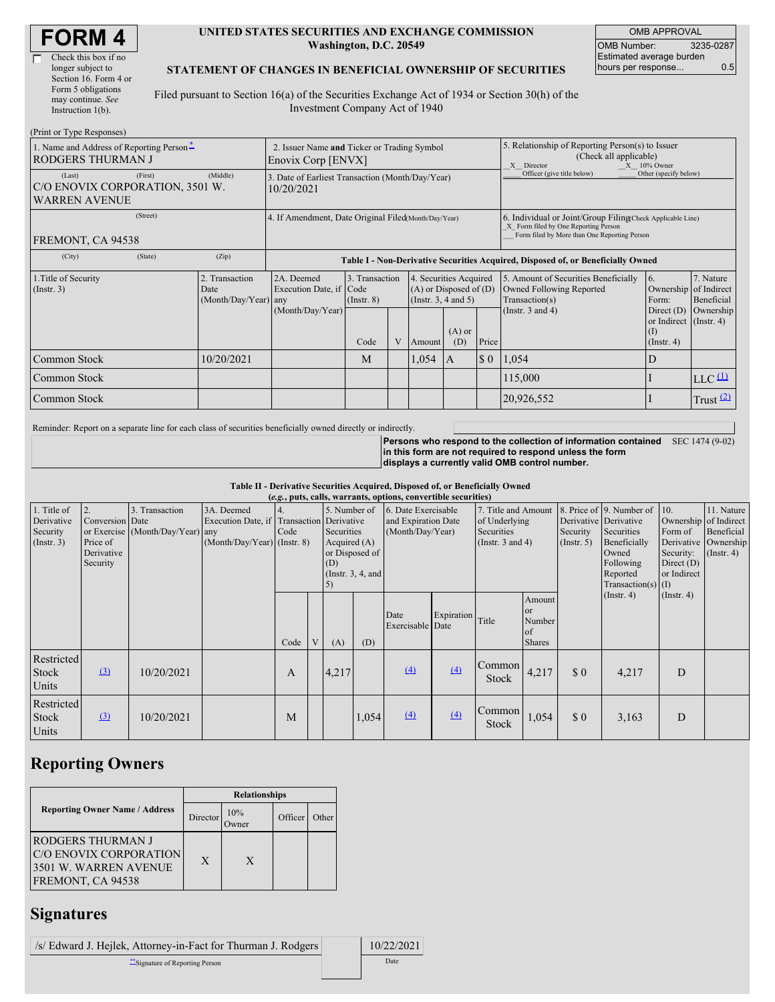| <b>FORM4</b> |
|--------------|
|--------------|

| Check this box if no  |
|-----------------------|
| longer subject to     |
| Section 16. Form 4 or |
| Form 5 obligations    |
| may continue. See     |
| Instruction $1(b)$ .  |
|                       |

#### **UNITED STATES SECURITIES AND EXCHANGE COMMISSION Washington, D.C. 20549**

OMB APPROVAL OMB Number: 3235-0287 Estimated average burden hours per response... 0.5

#### **STATEMENT OF CHANGES IN BENEFICIAL OWNERSHIP OF SECURITIES**

Filed pursuant to Section 16(a) of the Securities Exchange Act of 1934 or Section 30(h) of the Investment Company Act of 1940

| (Print or Type Responses)                                                    |                                                                   |                                                                                  |                                   |  |                                                                              |                 |                                                                                                                                                    |                                                                                    |                                                                   |                                   |
|------------------------------------------------------------------------------|-------------------------------------------------------------------|----------------------------------------------------------------------------------|-----------------------------------|--|------------------------------------------------------------------------------|-----------------|----------------------------------------------------------------------------------------------------------------------------------------------------|------------------------------------------------------------------------------------|-------------------------------------------------------------------|-----------------------------------|
| 1. Name and Address of Reporting Person-<br><b>RODGERS THURMAN J</b>         | 2. Issuer Name and Ticker or Trading Symbol<br>Enovix Corp [ENVX] |                                                                                  |                                   |  |                                                                              |                 | 5. Relationship of Reporting Person(s) to Issuer<br>(Check all applicable)<br>$X = 10\%$ Owner<br>X Director                                       |                                                                                    |                                                                   |                                   |
| (First)<br>(Last)<br>C/O ENOVIX CORPORATION, 3501 W.<br><b>WARREN AVENUE</b> | (Middle)                                                          | 3. Date of Earliest Transaction (Month/Day/Year)<br>10/20/2021                   |                                   |  |                                                                              |                 | Officer (give title below)                                                                                                                         | Other (specify below)                                                              |                                                                   |                                   |
| (Street)<br>FREMONT, CA 94538                                                |                                                                   | 4. If Amendment, Date Original Filed(Month/Day/Year)                             |                                   |  |                                                                              |                 | 6. Individual or Joint/Group Filing(Check Applicable Line)<br>X Form filed by One Reporting Person<br>Form filed by More than One Reporting Person |                                                                                    |                                                                   |                                   |
| (City)<br>(State)                                                            | (Zip)                                                             | Table I - Non-Derivative Securities Acquired, Disposed of, or Beneficially Owned |                                   |  |                                                                              |                 |                                                                                                                                                    |                                                                                    |                                                                   |                                   |
| 1. Title of Security<br>(Insert. 3)                                          | 2. Transaction<br>Date<br>(Month/Day/Year) any                    | 2A. Deemed<br>Execution Date, if Code                                            | 3. Transaction<br>$($ Instr. $8)$ |  | 4. Securities Acquired<br>$(A)$ or Disposed of $(D)$<br>(Insert. 3, 4 and 5) |                 |                                                                                                                                                    | 5. Amount of Securities Beneficially<br>Owned Following Reported<br>Transaction(s) | 16.<br>Ownership of Indirect<br>Form:                             | 7. Nature<br>Beneficial           |
|                                                                              |                                                                   | (Month/Day/Year)                                                                 | Code                              |  | V Amount                                                                     | $(A)$ or<br>(D) | Price                                                                                                                                              | (Instr. $3$ and $4$ )                                                              | Direct $(D)$<br>or Indirect (Instr. 4)<br>(I)<br>$($ Instr. 4 $)$ | Ownership                         |
| Common Stock                                                                 | 10/20/2021                                                        |                                                                                  | M                                 |  | 1,054                                                                        | I A             | $\boldsymbol{\mathsf{S}}$ 0                                                                                                                        | 1,054                                                                              | D                                                                 |                                   |
| Common Stock                                                                 |                                                                   |                                                                                  |                                   |  |                                                                              |                 |                                                                                                                                                    | 115,000                                                                            |                                                                   | $LLC$ <sup><math>(1)</math></sup> |
| Common Stock                                                                 |                                                                   |                                                                                  |                                   |  |                                                                              |                 | 20,926,552                                                                                                                                         |                                                                                    | Trust $(2)$                                                       |                                   |

Reminder: Report on a separate line for each class of securities beneficially owned directly or indirectly.

**Persons who respond to the collection of information contained in this form are not required to respond unless the form displays a currently valid OMB control number.** SEC 1474 (9-02)

**Table II - Derivative Securities Acquired, Disposed of, or Beneficially Owned**

| (e.g., puts, calls, warrants, options, convertible securities) |                                                             |                                                    |                                             |      |                                                                                                                                                             |       |                                                                |                          |                                                                             |                        |                                                  |                                                                                                                  |                                                                                                   |                                                      |  |
|----------------------------------------------------------------|-------------------------------------------------------------|----------------------------------------------------|---------------------------------------------|------|-------------------------------------------------------------------------------------------------------------------------------------------------------------|-------|----------------------------------------------------------------|--------------------------|-----------------------------------------------------------------------------|------------------------|--------------------------------------------------|------------------------------------------------------------------------------------------------------------------|---------------------------------------------------------------------------------------------------|------------------------------------------------------|--|
| 1. Title of<br>Derivative<br>Security<br>(Insert. 3)           | 2.<br>Conversion Date<br>Price of<br>Derivative<br>Security | 3. Transaction<br>or Exercise (Month/Day/Year) any | 3A. Deemed<br>$(Month/Day/Year)$ (Instr. 8) | Code | 5. Number of<br>Execution Date, if Transaction Derivative<br>Securities<br>Acquired $(A)$<br>or Disposed of<br>(D)<br>(Instr. $3, 4$ , and<br>$\mathcal{L}$ |       | 6. Date Exercisable<br>and Expiration Date<br>(Month/Day/Year) |                          | 7. Title and Amount<br>of Underlying<br>Securities<br>(Instr. $3$ and $4$ ) |                        | Derivative Derivative<br>Security<br>(Insert. 5) | 8. Price of 9. Number of<br>Securities<br>Beneficially<br>Owned<br>Following<br>Reported<br>Transaction(s) $(I)$ | 10.<br>Ownership of Indirect<br>Form of<br>Derivative<br>Security:<br>Direct $(D)$<br>or Indirect | 11. Nature<br>Beneficial<br>Ownership<br>(Insert. 4) |  |
|                                                                |                                                             |                                                    |                                             | Code |                                                                                                                                                             | (A)   | (D)                                                            | Date<br>Exercisable Date | Expiration                                                                  | Title                  | Amount<br>or<br>Number<br>of<br><b>Shares</b>    |                                                                                                                  | $($ Instr. 4 $)$                                                                                  | $($ Instr. 4 $)$                                     |  |
| Restricted<br><b>Stock</b><br>Units                            | $\Omega$                                                    | 10/20/2021                                         |                                             | A    |                                                                                                                                                             | 4,217 |                                                                | (4)                      | (4)                                                                         | Common<br><b>Stock</b> | 4,217                                            | \$0                                                                                                              | 4,217                                                                                             | D                                                    |  |
| Restricted<br><b>Stock</b><br>Units                            | $\Omega$                                                    | 10/20/2021                                         |                                             | M    |                                                                                                                                                             |       | 1,054                                                          | (4)                      | (4)                                                                         | Common<br><b>Stock</b> | 1,054                                            | \$0                                                                                                              | 3,163                                                                                             | D                                                    |  |

## **Reporting Owners**

|                                                                                            | <b>Relationships</b> |                      |         |       |  |  |  |
|--------------------------------------------------------------------------------------------|----------------------|----------------------|---------|-------|--|--|--|
| <b>Reporting Owner Name / Address</b>                                                      | Director             | 10%<br><b>)</b> wner | Officer | Other |  |  |  |
| IRODGERS THURMAN J<br>C/O ENOVIX CORPORATION<br>3501 W. WARREN AVENUE<br>FREMONT, CA 94538 | X                    | X                    |         |       |  |  |  |

# **Signatures**

| /s/ Edward J. Heilek, Attorney-in-Fact for Thurman J. Rodgers | 10/22/2021 |
|---------------------------------------------------------------|------------|
| Signature of Reporting Person                                 | Date       |